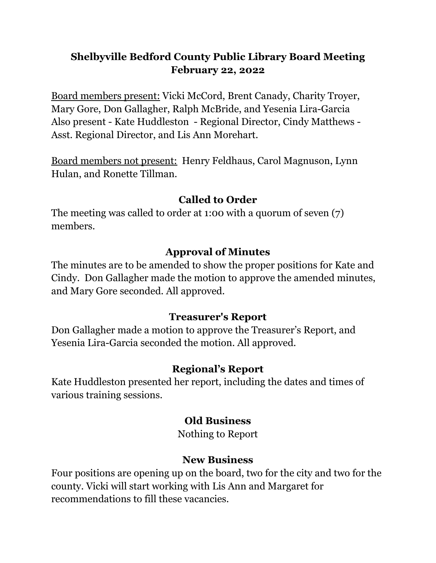## **Shelbyville Bedford County Public Library Board Meeting February 22, 2022**

Board members present: Vicki McCord, Brent Canady, Charity Troyer, Mary Gore, Don Gallagher, Ralph McBride, and Yesenia Lira-Garcia Also present - Kate Huddleston - Regional Director, Cindy Matthews - Asst. Regional Director, and Lis Ann Morehart.

Board members not present: Henry Feldhaus, Carol Magnuson, Lynn Hulan, and Ronette Tillman.

#### **Called to Order**

The meeting was called to order at 1:00 with a quorum of seven (7) members.

#### **Approval of Minutes**

The minutes are to be amended to show the proper positions for Kate and Cindy. Don Gallagher made the motion to approve the amended minutes, and Mary Gore seconded. All approved.

#### **Treasurer's Report**

Don Gallagher made a motion to approve the Treasurer's Report, and Yesenia Lira-Garcia seconded the motion. All approved.

## **Regional's Report**

Kate Huddleston presented her report, including the dates and times of various training sessions.

#### **Old Business**

Nothing to Report

#### **New Business**

Four positions are opening up on the board, two for the city and two for the county. Vicki will start working with Lis Ann and Margaret for recommendations to fill these vacancies.